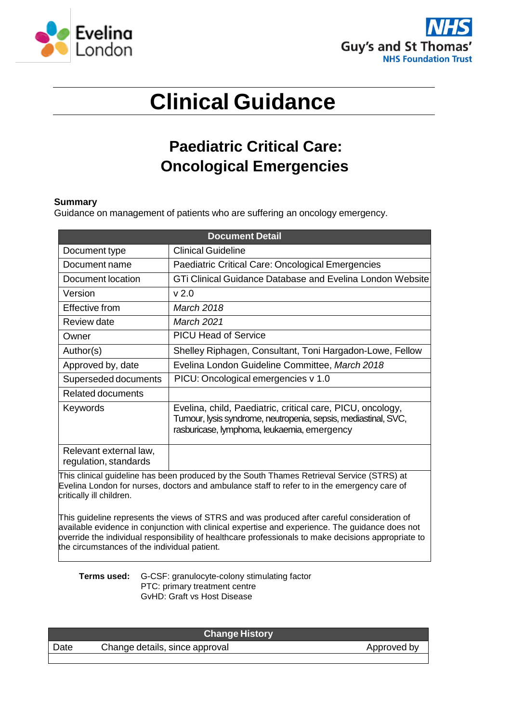



# **Clinical Guidance**

## **Paediatric Critical Care: Oncological Emergencies**

#### **Summary**

Guidance on management of patients who are suffering an oncology emergency.

| <b>Document Detail</b>                                                                    |                                                                                                                                                                             |  |
|-------------------------------------------------------------------------------------------|-----------------------------------------------------------------------------------------------------------------------------------------------------------------------------|--|
| Document type                                                                             | <b>Clinical Guideline</b>                                                                                                                                                   |  |
| Document name                                                                             | Paediatric Critical Care: Oncological Emergencies                                                                                                                           |  |
| Document location                                                                         | GTi Clinical Guidance Database and Evelina London Website                                                                                                                   |  |
| Version                                                                                   | v <sub>2.0</sub>                                                                                                                                                            |  |
| Effective from                                                                            | <b>March 2018</b>                                                                                                                                                           |  |
| Review date                                                                               | March 2021                                                                                                                                                                  |  |
| Owner                                                                                     | <b>PICU Head of Service</b>                                                                                                                                                 |  |
| Author(s)                                                                                 | Shelley Riphagen, Consultant, Toni Hargadon-Lowe, Fellow                                                                                                                    |  |
| Approved by, date                                                                         | Evelina London Guideline Committee, March 2018                                                                                                                              |  |
| Superseded documents                                                                      | PICU: Oncological emergencies v 1.0                                                                                                                                         |  |
| Related documents                                                                         |                                                                                                                                                                             |  |
| Keywords                                                                                  | Evelina, child, Paediatric, critical care, PICU, oncology,<br>Tumour, lysis syndrome, neutropenia, sepsis, mediastinal, SVC,<br>rasburicase, lymphoma, leukaemia, emergency |  |
| Relevant external law,<br>regulation, standards                                           |                                                                                                                                                                             |  |
| This clinical guideline has been produced by the South Thames Retrieval Service (STRS) at |                                                                                                                                                                             |  |

Evelina London for nurses, doctors and ambulance staff to refer to in the emergency care of critically ill children.

This guideline represents the views of STRS and was produced after careful consideration of available evidence in conjunction with clinical expertise and experience. The guidance does not override the individual responsibility of healthcare professionals to make decisions appropriate to the circumstances of the individual patient.

**Terms used:** G-CSF: granulocyte-colony stimulating factor PTC: primary treatment centre GvHD: Graft vs Host Disease

| <b>Change History</b> |                                |             |  |
|-----------------------|--------------------------------|-------------|--|
| Date                  | Change details, since approval | Approved by |  |
|                       |                                |             |  |